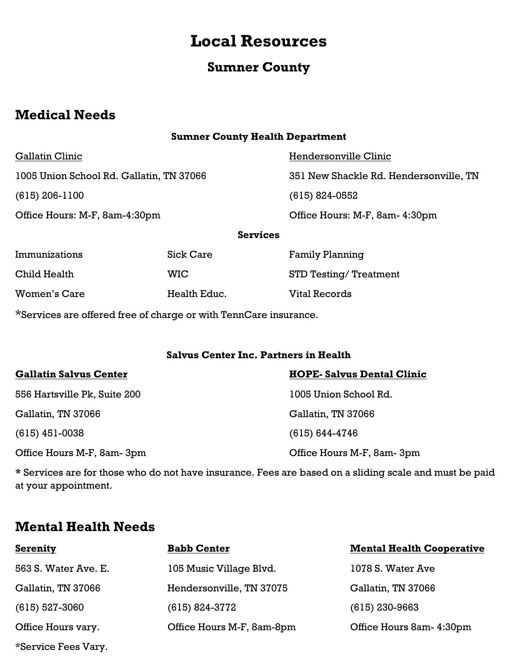# **Local Resources**

# **Sumner County**

# **Medical Needs**

## **Sumner County Health Department**

| <b>001101111111111</b>                   |
|------------------------------------------|
| 1005 Union School Rd. Gallatin, TN 37066 |
| $(615)$ 206-1100                         |
| Office Hours: M-F, 8am-4:30pm            |

Gallatin Clinic Gallatin Clinic Clinic Clinic Hendersonville Clinic 1005 Union School Rd. Gallatin, TN 37066 351 New Shackle Rd. Hendersonville, TN (615) 824-0552 Office Hours: M-F, 8am-4:30pm Office Hours: M-F, 8am- 4:30pm

**Services**

| Immunizations | <b>Sick Care</b> | <b>Family Planning</b>        |
|---------------|------------------|-------------------------------|
| Child Health  | WIC.             | <b>STD Testing/ Treatment</b> |
| Women's Care  | Health Educ.     | Vital Records                 |

\*Services are offered free of charge or with TennCare insurance.

### **Salvus Center Inc. Partners in Health**

| <b>Gallatin Salvus Center</b> | <b>HOPE-Salvus Dental Clinic</b> |
|-------------------------------|----------------------------------|
| 556 Hartsville Pk, Suite 200  | 1005 Union School Rd.            |
| Gallatin, TN 37066            | Gallatin, TN 37066               |
| $(615)$ 451-0038              | $(615) 644 - 4746$               |
| Office Hours M-F, 8am-3pm     | Office Hours M-F, 8am-3pm        |

**\*** Services are for those who do not have insurance. Fees are based on a sliding scale and must be paid at your appointment.

# **Mental Health Needs**

| <b>Serenity</b>      | <b>Babb Center</b>        | <b>Mental Health Cooperative</b> |
|----------------------|---------------------------|----------------------------------|
| 563 S. Water Ave. E. | 105 Music Village Blvd.   | 1078 S. Water Ave                |
| Gallatin, TN 37066   | Hendersonville, TN 37075  | Gallatin, TN 37066               |
| $(615) 527 - 3060$   | $(615) 824 - 3772$        | $(615)$ 230-9663                 |
| Office Hours vary.   | Office Hours M-F, 8am-8pm | Office Hours 8am- 4:30pm         |
| *Service Fees Vary.  |                           |                                  |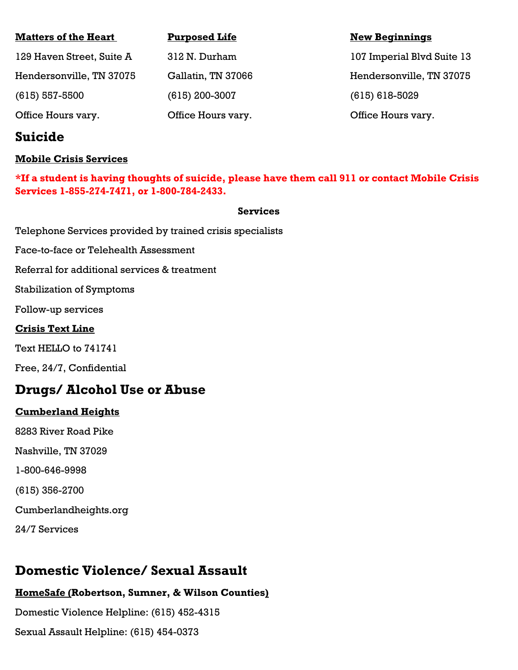| <b>Matters of the Heart</b> | <b>Purposed Life</b> | <b>New Beginnings</b>      |
|-----------------------------|----------------------|----------------------------|
| 129 Haven Street, Suite A   | 312 N. Durham        | 107 Imperial Blvd Suite 13 |
| Hendersonville, TN 37075    | Gallatin, TN 37066   | Hendersonville, TN 37075   |
| $(615) 557 - 5500$          | $(615)$ 200-3007     | $(615) 618 - 5029$         |
| Office Hours vary.          | Office Hours vary.   | Office Hours vary.         |

# **Suicide**

## **Mobile Crisis Services**

**\*If a student is having thoughts of suicide, please have them call 911 or contact Mobile Crisis Services 1-855-274-7471, or 1-800-784-2433.** 

#### **Services**

Telephone Services provided by trained crisis specialists

Face-to-face or Telehealth Assessment

Referral for additional services & treatment

Stabilization of Symptoms

Follow-up services

### **Crisis Text Line**

Text HELLO to 741741

Free, 24/7, Confidential

## **Drugs/ Alcohol Use or Abuse**

### **Cumberland Heights**

8283 River Road Pike

Nashville, TN 37029

1-800-646-9998

(615) 356-2700

Cumberlandheights.org

24/7 Services

# **Domestic Violence/ Sexual Assault**

## **HomeSafe (Robertson, Sumner, & Wilson Counties)**

Domestic Violence Helpline: (615) 452-4315 Sexual Assault Helpline: (615) 454-0373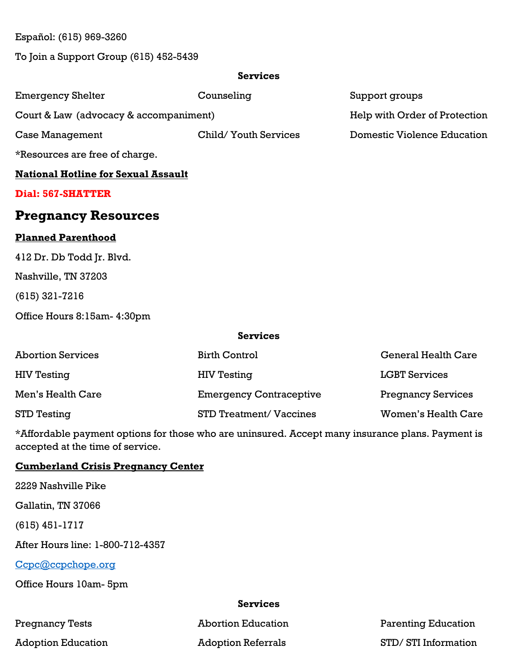Español: (615) 969-3260

To Join a Support Group (615) 452-5439

## **Services**

| <b>Emergency Shelter</b>                   | Counseling            | Support groups                |  |
|--------------------------------------------|-----------------------|-------------------------------|--|
| Court & Law (advocacy & accompaniment)     |                       | Help with Order of Protection |  |
| Case Management                            | Child/ Youth Services | Domestic Violence Education   |  |
| *Resources are free of charge.             |                       |                               |  |
| <b>National Hotline for Sexual Assault</b> |                       |                               |  |
| Dial: 567-SHATTER                          |                       |                               |  |
| <b>Pregnancy Resources</b>                 |                       |                               |  |
| <b>Planned Parenthood</b>                  |                       |                               |  |
| 412 Dr. Db Todd Jr. Blvd.                  |                       |                               |  |
| Nashville, TN 37203                        |                       |                               |  |

(615) 321-7216

Office Hours 8:15am- 4:30pm

#### **Services**

| <b>Abortion Services</b> | <b>Birth Control</b>           | <b>General Health Care</b> |
|--------------------------|--------------------------------|----------------------------|
| <b>HIV Testing</b>       | <b>HIV Testing</b>             | <b>LGBT Services</b>       |
| Men's Health Care        | <b>Emergency Contraceptive</b> | <b>Pregnancy Services</b>  |
| STD Testing              | <b>STD Treatment/ Vaccines</b> | Women's Health Care        |

\*Affordable payment options for those who are uninsured. Accept many insurance plans. Payment is accepted at the time of service.

## **Cumberland Crisis Pregnancy Center**

2229 Nashville Pike

Gallatin, TN 37066

(615) 451-1717

After Hours line: 1-800-712-4357

Ccpc@ccpchope.org

Office Hours 10am- 5pm

#### **Services**

Pregnancy Tests **Abortion Education** Parenting Education Adoption Education **Adoption Referrals** STD/ STI Information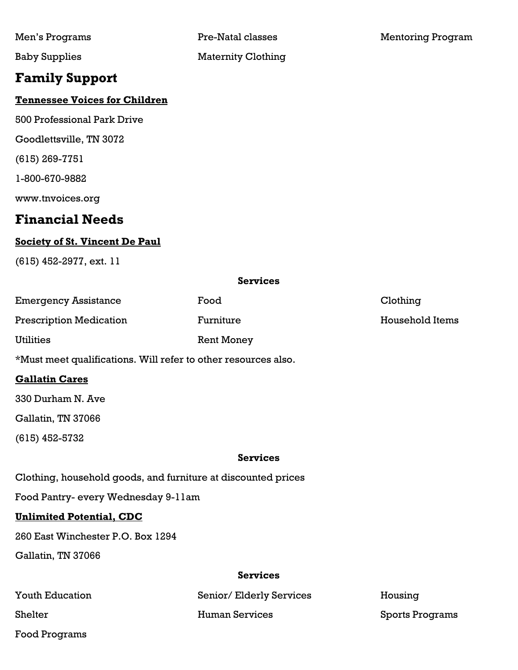# **Family Support**

## **Tennessee Voices for Children**

500 Professional Park Drive

Goodlettsville, TN 3072

(615) 269-7751

1-800-670-9882

www.tnvoices.org

## **Financial Needs**

## **Society of St. Vincent De Paul**

(615) 452-2977, ext. 11

#### **Services**

| Emergency Assistance                                           | Food       | Clothing        |
|----------------------------------------------------------------|------------|-----------------|
| <b>Prescription Medication</b>                                 | Furniture  | Household Items |
| Utilities                                                      | Rent Money |                 |
| *Must meet qualifications. Will refer to other resources also. |            |                 |

### **Gallatin Cares**

330 Durham N. Ave

Gallatin, TN 37066

(615) 452-5732

#### **Services**

Clothing, household goods, and furniture at discounted prices

Food Pantry- every Wednesday 9-11am

### **Unlimited Potential, CDC**

260 East Winchester P.O. Box 1294

Gallatin, TN 37066

#### **Services**

| <b>Youth Education</b> | Senior/Elderly Services | Housing         |
|------------------------|-------------------------|-----------------|
| Shelter                | Human Services          | Sports Programs |
| Food Programs          |                         |                 |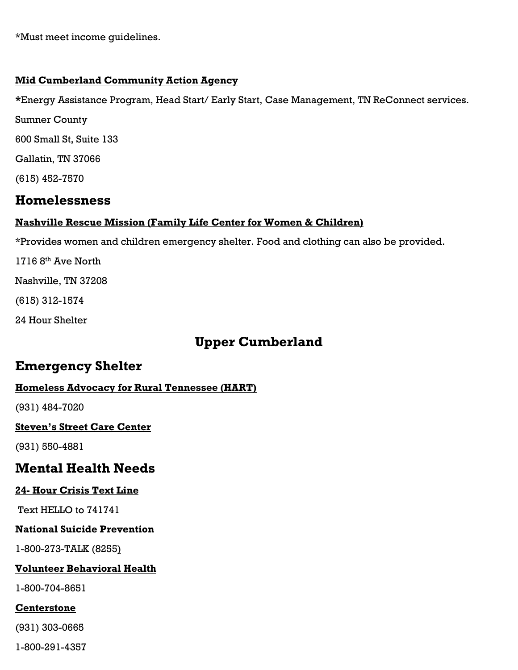\*Must meet income guidelines.

### **Mid Cumberland Community Action Agency**

**\***Energy Assistance Program, Head Start/ Early Start, Case Management, TN ReConnect services.

Sumner County 600 Small St, Suite 133

Gallatin, TN 37066

(615) 452-7570

# **Homelessness**

## **Nashville Rescue Mission (Family Life Center for Women & Children)**

\*Provides women and children emergency shelter. Food and clothing can also be provided.

1716  $8<sup>th</sup>$  Ave North

Nashville, TN 37208

(615) 312-1574

24 Hour Shelter

# **Upper Cumberland**

# **Emergency Shelter**

## **Homeless Advocacy for Rural Tennessee (HART)**

(931) 484-7020

## **Steven's Street Care Center**

(931) 550-4881

# **Mental Health Needs**

## **24- Hour Crisis Text Line**

Text HELLO to 741741

## **National Suicide Prevention**

1-800-273-TALK (8255)

## **Volunteer Behavioral Health**

1-800-704-8651

## **Centerstone**

(931) 303-0665

1-800-291-4357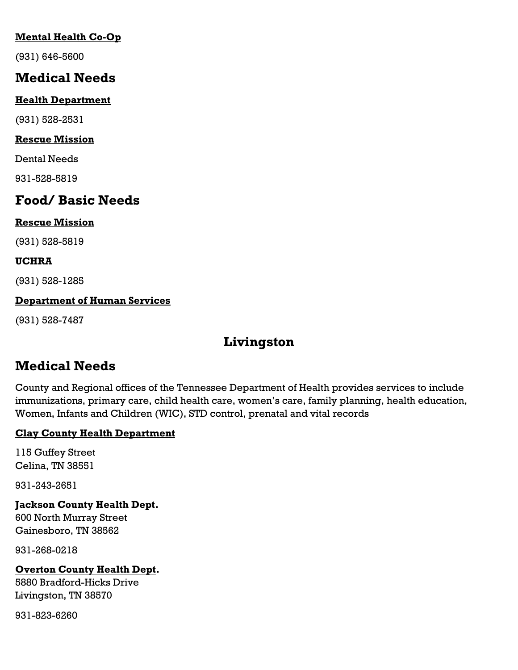## **Mental Health Co-Op**

(931) 646-5600

# **Medical Needs**

## **Health Department**

(931) 528-2531

## **Rescue Mission**

Dental Needs

931-528-5819

# **Food/ Basic Needs**

## **Rescue Mission**

(931) 528-5819

## **UCHRA**

(931) 528-1285

## **Department of Human Services**

(931) 528-7487

# **Livingston**

# **Medical Needs**

County and Regional offices of the Tennessee Department of Health provides services to include immunizations, primary care, child health care, women's care, family planning, health education, Women, Infants and Children (WIC), STD control, prenatal and vital records

## **Clay County Health Department**

115 Guffey Street Celina, TN 38551

931-243-2651

**Jackson County Health Dept.** 600 North Murray Street Gainesboro, TN 38562

931-268-0218

## **Overton County Health Dept.**

5880 Bradford-Hicks Drive Livingston, TN 38570

931-823-6260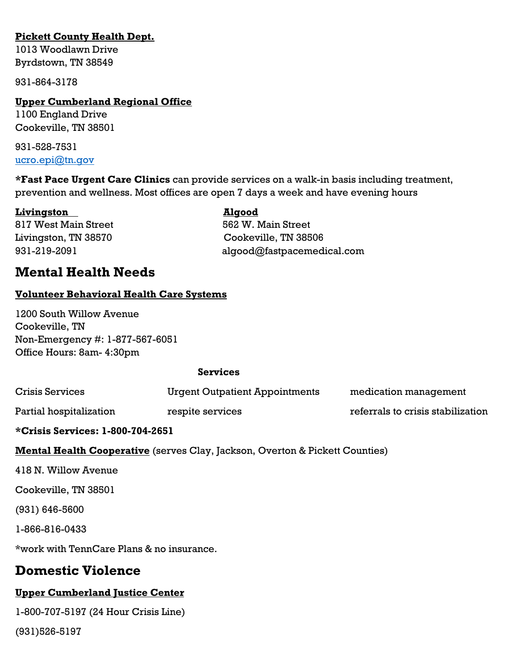## **Pickett County Health Dept.**

1013 Woodlawn Drive Byrdstown, TN 38549

931-864-3178

### **Upper Cumberland Regional Office**

1100 England Drive Cookeville, TN 38501

931-528-7531 ucro.epi@tn.qov

**\*Fast Pace Urgent Care Clinics** can provide services on a walk-in basis including treatment, prevention and wellness. Most offices are open 7 days a week and have evening hours

**Livingston Algood** 817 West Main Street 662 W. Main Street

Livingston, TN 38570 Cookeville, TN 38506 931-219-2091 algood@fastpacemedical.com

## **Mental Health Needs**

### **Volunteer Behavioral Health Care Systems**

1200 South Willow Avenue Cookeville, TN Non-Emergency #: 1-877-567-6051 Office Hours: 8am- 4:30pm

#### **Services**

| *Crisis Services: 1-800-704-2651      |                                   |  |
|---------------------------------------|-----------------------------------|--|
| respite services                      | referrals to crisis stabilization |  |
| <b>Urgent Outpatient Appointments</b> | medication management             |  |
|                                       |                                   |  |

**Mental Health Cooperative** (serves Clay, Jackson, Overton & Pickett Counties)

418 N. Willow Avenue

Cookeville, TN 38501

(931) 646-5600

1-866-816-0433

\*work with TennCare Plans & no insurance.

## **Domestic Violence**

## **Upper Cumberland Justice Center**

1-800-707-5197 (24 Hour Crisis Line)

(931)526-5197